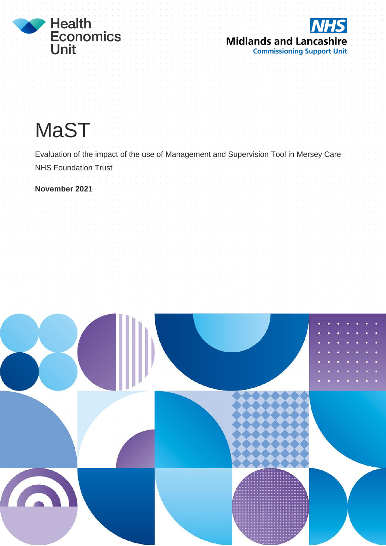



# **MaST**

Evaluation of the impact of the use of Management and Supervision Tool in Mersey Care NHS Foundation Trust

**November 2021**

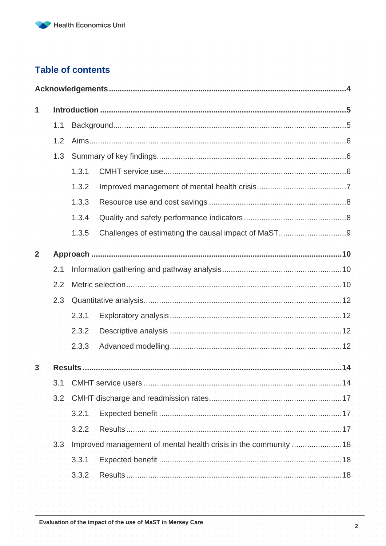### **Table of contents**

| 1              |                         |       |                                                              |    |  |  |
|----------------|-------------------------|-------|--------------------------------------------------------------|----|--|--|
|                | 1.1                     |       |                                                              |    |  |  |
|                | 1.2                     |       |                                                              |    |  |  |
|                | 1.3                     |       |                                                              |    |  |  |
|                |                         | 1.3.1 |                                                              |    |  |  |
|                |                         | 1.3.2 |                                                              |    |  |  |
|                |                         | 1.3.3 |                                                              |    |  |  |
|                |                         | 1.3.4 |                                                              |    |  |  |
|                |                         | 1.3.5 |                                                              |    |  |  |
| $\overline{2}$ |                         |       |                                                              |    |  |  |
|                | 2.1                     |       |                                                              |    |  |  |
|                | 2.2                     |       |                                                              |    |  |  |
|                | 2.3                     |       |                                                              |    |  |  |
|                |                         | 2.3.1 |                                                              |    |  |  |
|                |                         | 2.3.2 |                                                              |    |  |  |
|                |                         | 2.3.3 |                                                              |    |  |  |
| 3              |                         |       | contracts and contracts are a contracts of                   |    |  |  |
|                | 3.1                     |       | CMHT service users                                           | 14 |  |  |
|                | 3.2                     |       |                                                              |    |  |  |
|                |                         | 3.2.1 | Expected benefit                                             | 17 |  |  |
|                |                         | 3.2.2 |                                                              | 17 |  |  |
|                | 3.3                     |       | Improved management of mental health crisis in the community | 18 |  |  |
|                |                         | 3.3.1 |                                                              | 18 |  |  |
|                | Results<br>3.3.2<br>.18 |       |                                                              |    |  |  |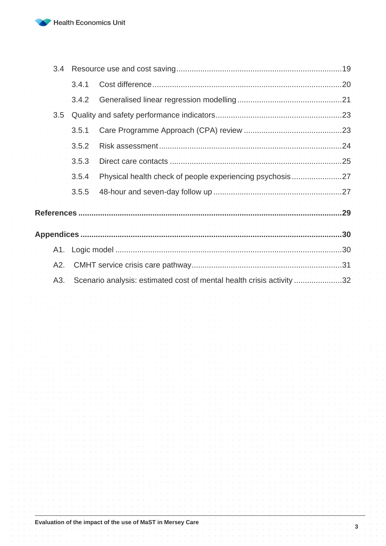

| 3.4 |       |                                                                       |  |
|-----|-------|-----------------------------------------------------------------------|--|
|     | 3.4.1 |                                                                       |  |
|     | 3.4.2 |                                                                       |  |
| 3.5 |       |                                                                       |  |
|     | 3.5.1 |                                                                       |  |
|     | 3.5.2 | .                                                                     |  |
|     | 3.5.3 |                                                                       |  |
|     | 3.5.4 | Physical health check of people experiencing psychosis27              |  |
|     | 3.5.5 |                                                                       |  |
|     |       |                                                                       |  |
|     |       |                                                                       |  |
|     |       |                                                                       |  |
| A2. |       | 1 Y B   K   K   K Y B   K   K   K Y B   K   K   K Y B   K   K         |  |
| A3. |       | Scenario analysis: estimated cost of mental health crisis activity 32 |  |

**3**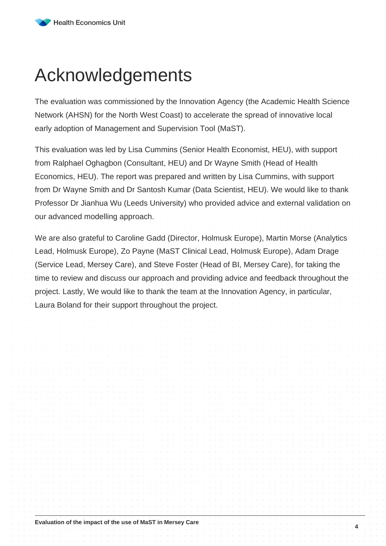## <span id="page-3-0"></span>Acknowledgements

The evaluation was commissioned by the Innovation Agency (the Academic Health Science Network (AHSN) for the North West Coast) to accelerate the spread of innovative local early adoption of Management and Supervision Tool (MaST).

This evaluation was led by Lisa Cummins (Senior Health Economist, HEU), with support from Ralphael Oghagbon (Consultant, HEU) and Dr Wayne Smith (Head of Health Economics, HEU). The report was prepared and written by Lisa Cummins, with support from Dr Wayne Smith and Dr Santosh Kumar (Data Scientist, HEU). We would like to thank Professor Dr Jianhua Wu (Leeds University) who provided advice and external validation on our advanced modelling approach.

We are also grateful to Caroline Gadd (Director, Holmusk Europe), Martin Morse (Analytics Lead, Holmusk Europe), Zo Payne (MaST Clinical Lead, Holmusk Europe), Adam Drage (Service Lead, Mersey Care), and Steve Foster (Head of BI, Mersey Care), for taking the time to review and discuss our approach and providing advice and feedback throughout the project. Lastly, We would like to thank the team at the Innovation Agency, in particular, Laura Boland for their support throughout the project.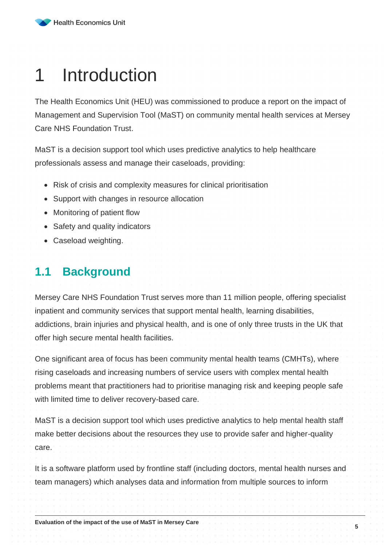## <span id="page-4-0"></span>1 Introduction

The Health Economics Unit (HEU) was commissioned to produce a report on the impact of Management and Supervision Tool (MaST) on community mental health services at Mersey Care NHS Foundation Trust.

MaST is a decision support tool which uses predictive analytics to help healthcare professionals assess and manage their caseloads, providing:

- Risk of crisis and complexity measures for clinical prioritisation
- Support with changes in resource allocation
- Monitoring of patient flow
- Safety and quality indicators
- Caseload weighting.

## <span id="page-4-1"></span>**1.1 Background**

Mersey Care NHS Foundation Trust serves more than 11 million people, offering specialist inpatient and community services that support mental health, learning disabilities, addictions, brain injuries and physical health, and is one of only three trusts in the UK that offer high secure mental health facilities.

One significant area of focus has been community mental health teams (CMHTs), where rising caseloads and increasing numbers of service users with complex mental health problems meant that practitioners had to prioritise managing risk and keeping people safe with limited time to deliver recovery-based care.

MaST is a decision support tool which uses predictive analytics to help mental health staff make better decisions about the resources they use to provide safer and higher-quality care.

It is a software platform used by frontline staff (including doctors, mental health nurses and team managers) which analyses data and information from multiple sources to inform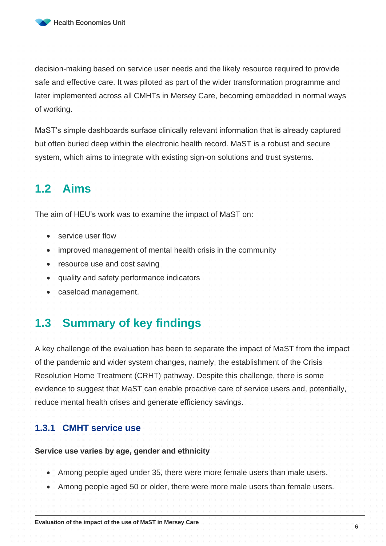

decision-making based on service user needs and the likely resource required to provide safe and effective care. It was piloted as part of the wider transformation programme and later implemented across all CMHTs in Mersey Care, becoming embedded in normal ways of working.

MaST's simple dashboards surface clinically relevant information that is already captured but often buried deep within the electronic health record. MaST is a robust and secure system, which aims to integrate with existing sign-on solutions and trust systems.

## <span id="page-5-0"></span>**1.2 Aims**

The aim of HEU's work was to examine the impact of MaST on:

- service user flow
- improved management of mental health crisis in the community
- resource use and cost saving
- quality and safety performance indicators
- caseload management.

### <span id="page-5-1"></span>**1.3 Summary of key findings**

A key challenge of the evaluation has been to separate the impact of MaST from the impact of the pandemic and wider system changes, namely, the establishment of the Crisis Resolution Home Treatment (CRHT) pathway. Despite this challenge, there is some evidence to suggest that MaST can enable proactive care of service users and, potentially, reduce mental health crises and generate efficiency savings.

#### <span id="page-5-2"></span>**1.3.1 CMHT service use**

#### **Service use varies by age, gender and ethnicity**

- Among people aged under 35, there were more female users than male users.
- Among people aged 50 or older, there were more male users than female users.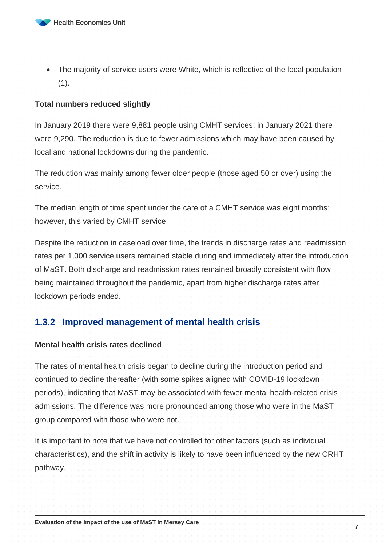

• The majority of service users were White, which is reflective of the local population  $(1).$ 

#### **Total numbers reduced slightly**

In January 2019 there were 9,881 people using CMHT services; in January 2021 there were 9,290. The reduction is due to fewer admissions which may have been caused by local and national lockdowns during the pandemic.

The reduction was mainly among fewer older people (those aged 50 or over) using the service.

The median length of time spent under the care of a CMHT service was eight months; however, this varied by CMHT service.

Despite the reduction in caseload over time, the trends in discharge rates and readmission rates per 1,000 service users remained stable during and immediately after the introduction of MaST. Both discharge and readmission rates remained broadly consistent with flow being maintained throughout the pandemic, apart from higher discharge rates after lockdown periods ended.

#### <span id="page-6-0"></span>**1.3.2 Improved management of mental health crisis**

#### **Mental health crisis rates declined**

The rates of mental health crisis began to decline during the introduction period and continued to decline thereafter (with some spikes aligned with COVID-19 lockdown periods), indicating that MaST may be associated with fewer mental health-related crisis admissions. The difference was more pronounced among those who were in the MaST group compared with those who were not.

It is important to note that we have not controlled for other factors (such as individual characteristics), and the shift in activity is likely to have been influenced by the new CRHT pathway.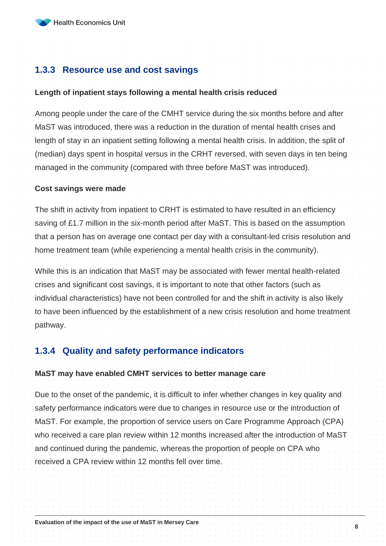#### <span id="page-7-0"></span>**1.3.3 Resource use and cost savings**

#### **Length of inpatient stays following a mental health crisis reduced**

Among people under the care of the CMHT service during the six months before and after MaST was introduced, there was a reduction in the duration of mental health crises and length of stay in an inpatient setting following a mental health crisis. In addition, the split of (median) days spent in hospital versus in the CRHT reversed, with seven days in ten being managed in the community (compared with three before MaST was introduced).

#### **Cost savings were made**

The shift in activity from inpatient to CRHT is estimated to have resulted in an efficiency saving of £1.7 million in the six-month period after MaST. This is based on the assumption that a person has on average one contact per day with a consultant-led crisis resolution and home treatment team (while experiencing a mental health crisis in the community).

While this is an indication that MaST may be associated with fewer mental health-related crises and significant cost savings, it is important to note that other factors (such as individual characteristics) have not been controlled for and the shift in activity is also likely to have been influenced by the establishment of a new crisis resolution and home treatment pathway.

#### <span id="page-7-1"></span>**1.3.4 Quality and safety performance indicators**

#### **MaST may have enabled CMHT services to better manage care**

Due to the onset of the pandemic, it is difficult to infer whether changes in key quality and safety performance indicators were due to changes in resource use or the introduction of MaST. For example, the proportion of service users on Care Programme Approach (CPA) who received a care plan review within 12 months increased after the introduction of MaST and continued during the pandemic, whereas the proportion of people on CPA who received a CPA review within 12 months fell over time.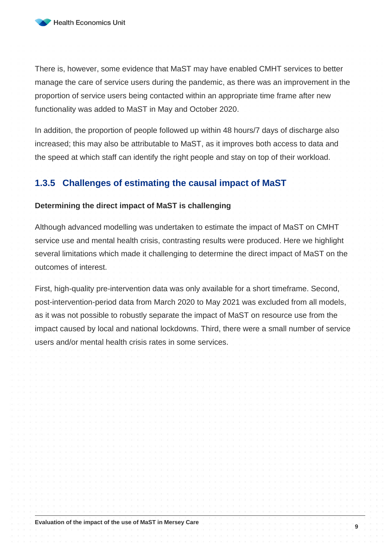There is, however, some evidence that MaST may have enabled CMHT services to better manage the care of service users during the pandemic, as there was an improvement in the proportion of service users being contacted within an appropriate time frame after new functionality was added to MaST in May and October 2020.

In addition, the proportion of people followed up within 48 hours/7 days of discharge also increased; this may also be attributable to MaST, as it improves both access to data and the speed at which staff can identify the right people and stay on top of their workload.

#### <span id="page-8-0"></span>**1.3.5 Challenges of estimating the causal impact of MaST**

#### **Determining the direct impact of MaST is challenging**

Although advanced modelling was undertaken to estimate the impact of MaST on CMHT service use and mental health crisis, contrasting results were produced. Here we highlight several limitations which made it challenging to determine the direct impact of MaST on the outcomes of interest.

First, high-quality pre-intervention data was only available for a short timeframe. Second, post-intervention-period data from March 2020 to May 2021 was excluded from all models, as it was not possible to robustly separate the impact of MaST on resource use from the impact caused by local and national lockdowns. Third, there were a small number of service users and/or mental health crisis rates in some services.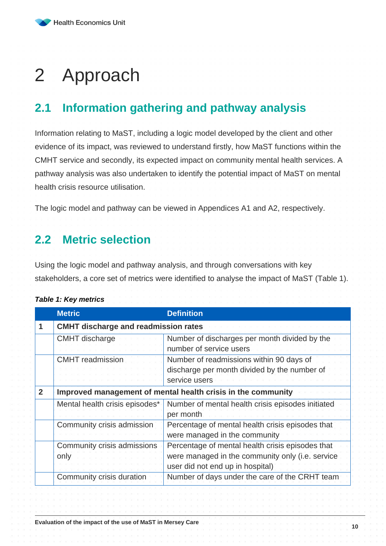## <span id="page-9-0"></span>2 Approach

## <span id="page-9-1"></span>**2.1 Information gathering and pathway analysis**

Information relating to MaST, including a logic model developed by the client and other evidence of its impact, was reviewed to understand firstly, how MaST functions within the CMHT service and secondly, its expected impact on community mental health services. A pathway analysis was also undertaken to identify the potential impact of MaST on mental health crisis resource utilisation.

The logic model and pathway can be viewed in Appendices A1 and A2, respectively.

## <span id="page-9-2"></span>**2.2 Metric selection**

Using the logic model and pathway analysis, and through conversations with key stakeholders, a core set of metrics were identified to analyse the impact of MaST (Table 1).

#### **Metric Definition 1 CMHT discharge and readmission rates** CMHT discharge Number of discharges per month divided by the number of service users CMHT readmission Number of readmissions within 90 days of discharge per month divided by the number of service users **2 Improved management of mental health crisis in the community** Mental health crisis episodes<sup>\*</sup> Number of mental health crisis episodes initiated per month Community crisis admission | Percentage of mental health crisis episodes that were managed in the community Community crisis admissions only Percentage of mental health crisis episodes that were managed in the community only (i.e. service user did not end up in hospital) Community crisis duration Number of days under the care of the CRHT team

#### <span id="page-9-3"></span>*Table 1: Key metrics*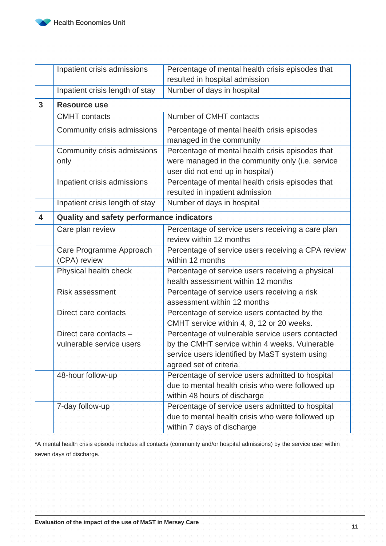|   | Inpatient crisis admissions               | Percentage of mental health crisis episodes that   |  |  |  |
|---|-------------------------------------------|----------------------------------------------------|--|--|--|
|   |                                           | resulted in hospital admission                     |  |  |  |
|   | Inpatient crisis length of stay           | Number of days in hospital                         |  |  |  |
| 3 | <b>Resource use</b>                       |                                                    |  |  |  |
|   | <b>CMHT</b> contacts                      | Number of CMHT contacts                            |  |  |  |
|   | Community crisis admissions               | Percentage of mental health crisis episodes        |  |  |  |
|   |                                           | managed in the community                           |  |  |  |
|   | Community crisis admissions               | Percentage of mental health crisis episodes that   |  |  |  |
|   | only                                      | were managed in the community only (i.e. service   |  |  |  |
|   |                                           | user did not end up in hospital)                   |  |  |  |
|   | Inpatient crisis admissions               | Percentage of mental health crisis episodes that   |  |  |  |
|   |                                           | resulted in inpatient admission                    |  |  |  |
|   | Inpatient crisis length of stay           | Number of days in hospital                         |  |  |  |
| 4 | Quality and safety performance indicators |                                                    |  |  |  |
|   | Care plan review                          | Percentage of service users receiving a care plan  |  |  |  |
|   |                                           | review within 12 months                            |  |  |  |
|   | Care Programme Approach                   | Percentage of service users receiving a CPA review |  |  |  |
|   | (CPA) review                              | within 12 months                                   |  |  |  |
|   | Physical health check                     | Percentage of service users receiving a physical   |  |  |  |
|   |                                           | health assessment within 12 months                 |  |  |  |
|   | <b>Risk assessment</b>                    | Percentage of service users receiving a risk       |  |  |  |
|   |                                           | assessment within 12 months                        |  |  |  |
|   | Direct care contacts                      | Percentage of service users contacted by the       |  |  |  |
|   |                                           | CMHT service within 4, 8, 12 or 20 weeks.          |  |  |  |
|   | Direct care contacts -                    | Percentage of vulnerable service users contacted   |  |  |  |
|   | vulnerable service users                  | by the CMHT service within 4 weeks. Vulnerable     |  |  |  |
|   |                                           | service users identified by MaST system using      |  |  |  |
|   |                                           | agreed set of criteria.                            |  |  |  |
|   | 48-hour follow-up                         | Percentage of service users admitted to hospital   |  |  |  |
|   |                                           | due to mental health crisis who were followed up   |  |  |  |
|   |                                           | within 48 hours of discharge                       |  |  |  |
|   | 7-day follow-up                           | Percentage of service users admitted to hospital   |  |  |  |
|   |                                           | due to mental health crisis who were followed up   |  |  |  |
|   |                                           | within 7 days of discharge                         |  |  |  |

\*A mental health crisis episode includes all contacts (community and/or hospital admissions) by the service user within seven days of discharge.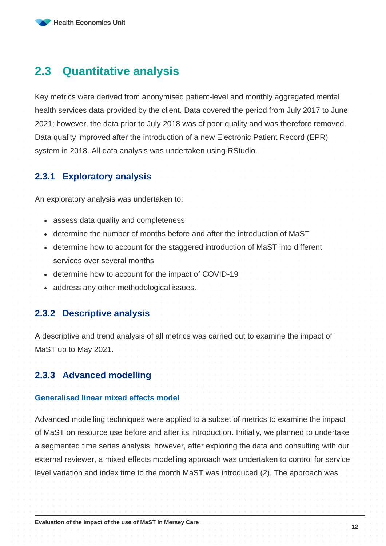## <span id="page-11-0"></span>**2.3 Quantitative analysis**

Key metrics were derived from anonymised patient-level and monthly aggregated mental health services data provided by the client. Data covered the period from July 2017 to June 2021; however, the data prior to July 2018 was of poor quality and was therefore removed. Data quality improved after the introduction of a new Electronic Patient Record (EPR) system in 2018. All data analysis was undertaken using RStudio.

#### <span id="page-11-1"></span>**2.3.1 Exploratory analysis**

An exploratory analysis was undertaken to:

- assess data quality and completeness
- determine the number of months before and after the introduction of MaST
- determine how to account for the staggered introduction of MaST into different services over several months
- determine how to account for the impact of COVID-19
- address any other methodological issues.

#### <span id="page-11-2"></span>**2.3.2 Descriptive analysis**

A descriptive and trend analysis of all metrics was carried out to examine the impact of MaST up to May 2021.

#### <span id="page-11-3"></span>**2.3.3 Advanced modelling**

#### **Generalised linear mixed effects model**

Advanced modelling techniques were applied to a subset of metrics to examine the impact of MaST on resource use before and after its introduction. Initially, we planned to undertake a segmented time series analysis; however, after exploring the data and consulting with our external reviewer, a mixed effects modelling approach was undertaken to control for service level variation and index time to the month MaST was introduced (2). The approach was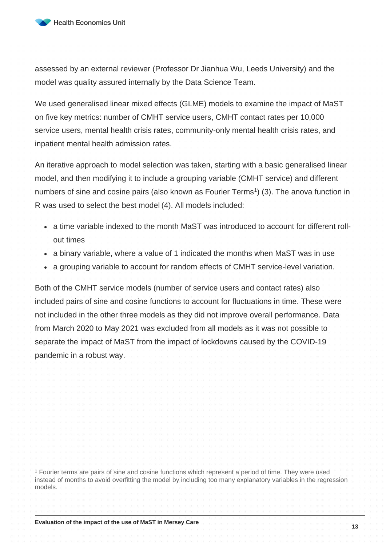

assessed by an external reviewer (Professor Dr Jianhua Wu, Leeds University) and the model was quality assured internally by the Data Science Team.

We used generalised linear mixed effects (GLME) models to examine the impact of MaST on five key metrics: number of CMHT service users, CMHT contact rates per 10,000 service users, mental health crisis rates, community-only mental health crisis rates, and inpatient mental health admission rates.

An iterative approach to model selection was taken, starting with a basic generalised linear model, and then modifying it to include a grouping variable (CMHT service) and different numbers of sine and cosine pairs (also known as Fourier Terms<sup>1</sup>) (3). The anova function in R was used to select the best model (4). All models included:

- a time variable indexed to the month MaST was introduced to account for different rollout times
- a binary variable, where a value of 1 indicated the months when MaST was in use
- a grouping variable to account for random effects of CMHT service-level variation.

Both of the CMHT service models (number of service users and contact rates) also included pairs of sine and cosine functions to account for fluctuations in time. These were not included in the other three models as they did not improve overall performance. Data from March 2020 to May 2021 was excluded from all models as it was not possible to separate the impact of MaST from the impact of lockdowns caused by the COVID-19 pandemic in a robust way.

<sup>1</sup> Fourier terms are pairs of sine and cosine functions which represent a period of time. They were used instead of months to avoid overfitting the model by including too many explanatory variables in the regression models.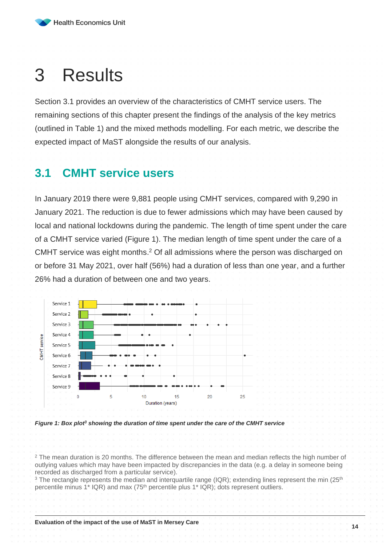## <span id="page-13-0"></span>3 Results

Section [3.1](#page-13-1) provides an overview of the characteristics of CMHT service users. The remaining sections of this chapter present the findings of the analysis of the key metrics (outlined in [Table 1\)](#page-9-3) and the mixed methods modelling. For each metric, we describe the expected impact of MaST alongside the results of our analysis.

### <span id="page-13-1"></span>**3.1 CMHT service users**

In January 2019 there were 9,881 people using CMHT services, compared with 9,290 in January 2021. The reduction is due to fewer admissions which may have been caused by local and national lockdowns during the pandemic. The length of time spent under the care of a CMHT service varied [\(Figure 1\)](#page-13-2). The median length of time spent under the care of a CMHT service was eight months. <sup>2</sup> Of all admissions where the person was discharged on or before 31 May 2021, over half (56%) had a duration of less than one year, and a further 26% had a duration of between one and two years.



<span id="page-13-2"></span>*Figure 1: Box plot<sup>3</sup> showing the duration of time spent under the care of the CMHT service*

<sup>2</sup> The mean duration is 20 months. The difference between the mean and median reflects the high number of outlying values which may have been impacted by discrepancies in the data (e.g. a delay in someone being recorded as discharged from a particular service).

<sup>3</sup> The rectangle represents the median and interguartile range (IQR); extending lines represent the min ( $25<sup>th</sup>$ percentile minus 1\* IQR) and max (75th percentile plus 1\* IQR); dots represent outliers.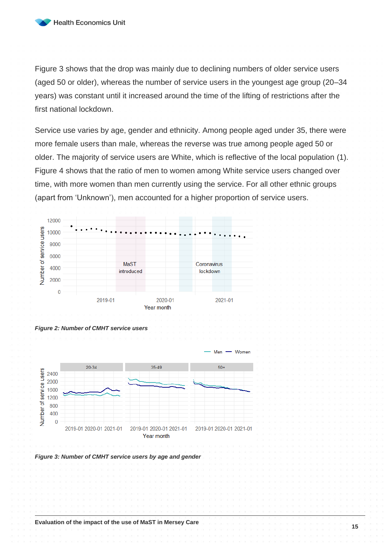Figure 3 shows that the drop was mainly due to declining numbers of older service users (aged 50 or older), whereas the number of service users in the youngest age group (20–34 years) was constant until it increased around the time of the lifting of restrictions after the first national lockdown.

Service use varies by age, gender and ethnicity. Among people aged under 35, there were more female users than male, whereas the reverse was true among people aged 50 or older. The majority of service users are White, which is reflective of the local population (1). Figure 4 shows that the ratio of men to women among White service users changed over time, with more women than men currently using the service. For all other ethnic groups (apart from 'Unknown'), men accounted for a higher proportion of service users.







*Figure 3: Number of CMHT service users by age and gender*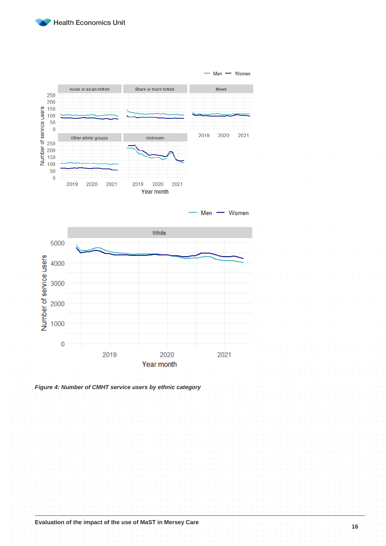



**Evaluation of the impact of the use of MaST in Mersey Care**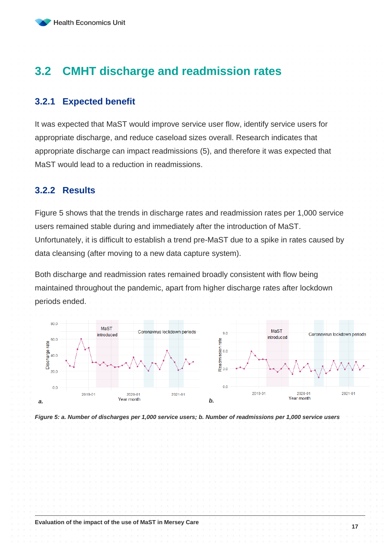## <span id="page-16-0"></span>**3.2 CMHT discharge and readmission rates**

#### <span id="page-16-1"></span>**3.2.1 Expected benefit**

It was expected that MaST would improve service user flow, identify service users for appropriate discharge, and reduce caseload sizes overall. Research indicates that appropriate discharge can impact readmissions (5), and therefore it was expected that MaST would lead to a reduction in readmissions.

#### <span id="page-16-2"></span>**3.2.2 Results**

[Figure 5](#page-16-3) shows that the trends in discharge rates and readmission rates per 1,000 service users remained stable during and immediately after the introduction of MaST. Unfortunately, it is difficult to establish a trend pre-MaST due to a spike in rates caused by data cleansing (after moving to a new data capture system).

Both discharge and readmission rates remained broadly consistent with flow being maintained throughout the pandemic, apart from higher discharge rates after lockdown periods ended.



<span id="page-16-3"></span>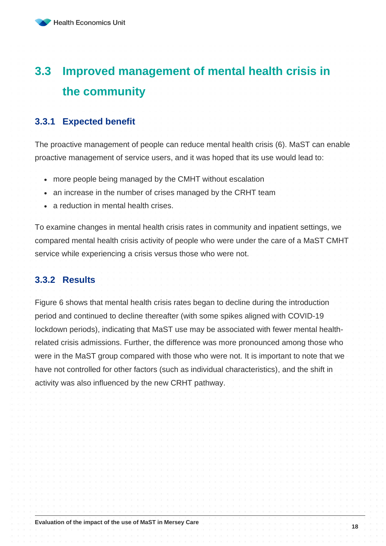## <span id="page-17-0"></span>**3.3 Improved management of mental health crisis in the community**

#### <span id="page-17-1"></span>**3.3.1 Expected benefit**

The proactive management of people can reduce mental health crisis (6). MaST can enable proactive management of service users, and it was hoped that its use would lead to:

- more people being managed by the CMHT without escalation
- an increase in the number of crises managed by the CRHT team
- a reduction in mental health crises.

To examine changes in mental health crisis rates in community and inpatient settings, we compared mental health crisis activity of people who were under the care of a MaST CMHT service while experiencing a crisis versus those who were not.

#### <span id="page-17-2"></span>**3.3.2 Results**

[Figure 6](#page-18-1) shows that mental health crisis rates began to decline during the introduction period and continued to decline thereafter (with some spikes aligned with COVID-19 lockdown periods), indicating that MaST use may be associated with fewer mental healthrelated crisis admissions. Further, the difference was more pronounced among those who were in the MaST group compared with those who were not. It is important to note that we have not controlled for other factors (such as individual characteristics), and the shift in activity was also influenced by the new CRHT pathway.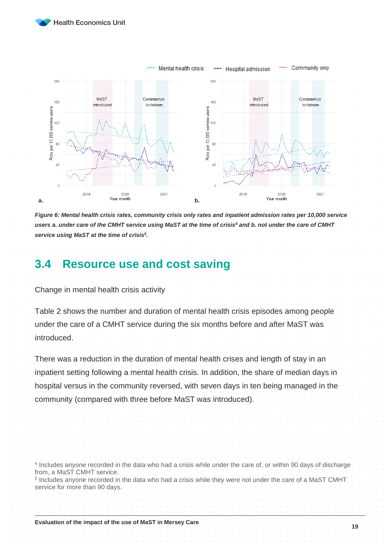

<span id="page-18-3"></span><span id="page-18-2"></span>

<span id="page-18-1"></span>*Figure 6: Mental health crisis rates, community crisis only rates and inpatient admission rates per 10,000 service users a. under care of the CMHT service using MaST at the time of crisis[4](#page-18-2) and b. not under the care of CMHT service using MaST at the time of crisi[s](#page-18-3)<sup>5</sup> .*

## <span id="page-18-0"></span>**3.4 Resource use and cost saving**

Change in mental health crisis activit[y](#page-18-4)

[Table 2](#page-18-4) shows the number and duration of mental health crisis episodes among people under the care of a CMHT service during the six months before and after MaST was introduced.

<span id="page-18-4"></span>There was a reduction in the duration of mental health crises and length of stay in an inpatient setting following a mental health crisis. In addition, the share of median days in hospital versus in the community reversed, with seven days in ten being managed in the community (compared with three before MaST was introduced).

4 Includes anyone recorded in the data who had a crisis while under the care of, or within 90 days of discharge from, a MaST CMHT service.

5 Includes anyone recorded in the data who had a crisis while they were not under the care of a MaST CMHT service for more than 90 days.

**Evaluation of the impact of the use of MaST in Mersey Care**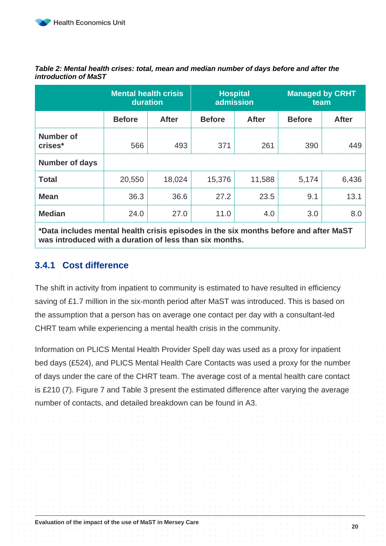|                             | <b>Mental health crisis</b><br>duration |        | <b>Hospital</b><br>admission |              | <b>Managed by CRHT</b><br>team |              |
|-----------------------------|-----------------------------------------|--------|------------------------------|--------------|--------------------------------|--------------|
|                             | <b>Before</b><br><b>After</b>           |        | <b>Before</b>                | <b>After</b> | <b>Before</b>                  | <b>After</b> |
| <b>Number of</b><br>crises* | 566                                     | 493    | 371                          | 261          | 390                            | 449          |
| <b>Number of days</b>       |                                         |        |                              |              |                                |              |
| <b>Total</b>                | 20,550                                  | 18,024 | 15,376                       | 11,588       | 5,174                          | 6,436        |
| <b>Mean</b>                 | 36.3                                    | 36.6   | 27.2                         | 23.5         | 9.1                            | 13.1         |
| <b>Median</b>               | 24.0                                    | 27.0   | 11.0                         | 4.0          | 3.0                            | 8.0          |

*Table 2: Mental health crises: total, mean and median number of days before and after the introduction of MaST*

**\*Data includes mental health crisis episodes in the six months before and after MaST was introduced with a duration of less than six months.**

#### <span id="page-19-0"></span>**3.4.1 Cost difference**

The shift in activity from inpatient to community is estimated to have resulted in efficiency saving of £1.7 million in the six-month period after MaST was introduced. This is based on the assumption that a person has on average one contact per day with a consultant-led CHRT team while experiencing a mental health crisis in the community.

Information on PLICS Mental Health Provider Spell day was used as a proxy for inpatient bed days (£524), and PLICS Mental Health Care Contacts was used a proxy for the number of days under the care of the CHRT team. The average cost of a mental health care contact is £210 (7). [Figure 7](#page-20-1) and [Table 3](#page-20-2) present the estimated difference after varying the average number of contacts, and detailed breakdown can be found in A3.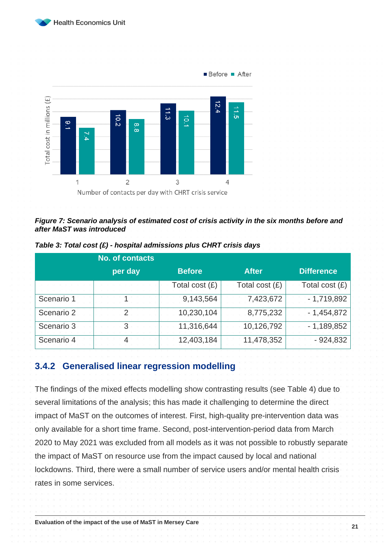



#### <span id="page-20-1"></span>*Figure 7: Scenario analysis of estimated cost of crisis activity in the six months before and after MaST was introduced*

|            | <b>No. of contacts</b> |                |                  |                   |
|------------|------------------------|----------------|------------------|-------------------|
|            | per day                | <b>Before</b>  | <b>After</b>     | <b>Difference</b> |
|            |                        | Total cost (£) | Total cost $(E)$ | Total cost (£)    |
| Scenario 1 |                        | 9,143,564      | 7,423,672        | $-1,719,892$      |
| Scenario 2 |                        | 10,230,104     | 8,775,232        | $-1,454,872$      |
| Scenario 3 | З                      | 11,316,644     | 10,126,792       | $-1,189,852$      |
| Scenario 4 |                        | 12,403,184     | 11,478,352       | $-924,832$        |

<span id="page-20-2"></span>*Table 3: Total cost (£) - hospital admissions plus CHRT crisis days*

#### <span id="page-20-0"></span>**3.4.2 Generalised linear regression modelling**

The findings of the mixed effects modelling show contrasting results (see [Table 4\)](#page-21-0) due to several limitations of the analysis; this has made it challenging to determine the direct impact of MaST on the outcomes of interest. First, high-quality pre-intervention data was only available for a short time frame. Second, post-intervention-period data from March 2020 to May 2021 was excluded from all models as it was not possible to robustly separate the impact of MaST on resource use from the impact caused by local and national lockdowns. Third, there were a small number of service users and/or mental health crisis rates in some services.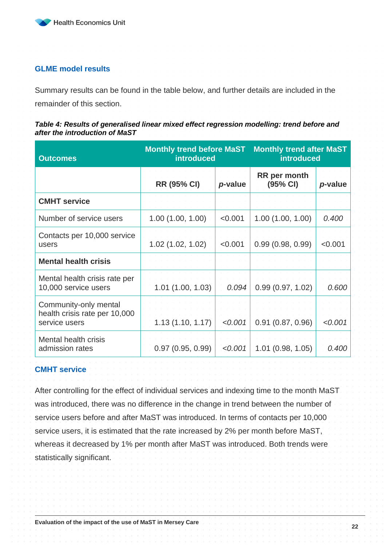

#### **GLME model results**

Summary results can be found in the table below, and further details are included in the remainder of this section.

#### <span id="page-21-0"></span>*Table 4: Results of generalised linear mixed effect regression modelling: trend before and after the introduction of MaST*

| <b>Outcomes</b>                                                         | <b>Monthly trend before MaST</b><br><b>introduced</b> |         | <b>Monthly trend after MaST</b><br><b>introduced</b> |         |  |
|-------------------------------------------------------------------------|-------------------------------------------------------|---------|------------------------------------------------------|---------|--|
|                                                                         | <b>RR (95% CI)</b>                                    | p-value | <b>RR</b> per month<br>(95% CI)                      | p-value |  |
| <b>CMHT</b> service                                                     |                                                       |         |                                                      |         |  |
| Number of service users                                                 | 1.00(1.00, 1.00)                                      | < 0.001 | 1.00(1.00, 1.00)                                     | 0.400   |  |
| Contacts per 10,000 service<br>users                                    | 1.02 (1.02, 1.02)                                     | < 0.001 | 0.99(0.98, 0.99)                                     | < 0.001 |  |
| <b>Mental health crisis</b>                                             |                                                       |         |                                                      |         |  |
| Mental health crisis rate per<br>10,000 service users                   | 1.01(1.00, 1.03)                                      | 0.094   | 0.99(0.97, 1.02)                                     | 0.600   |  |
| Community-only mental<br>health crisis rate per 10,000<br>service users | 1.13(1.10, 1.17)                                      | < 0.001 | 0.91(0.87, 0.96)                                     | < 0.001 |  |
| <b>Mental health crisis</b><br>admission rates                          | 0.97(0.95, 0.99)                                      | < 0.001 | 1.01(0.98, 1.05)                                     | 0.400   |  |

#### **CMHT service**

After controlling for the effect of individual services and indexing time to the month MaST was introduced, there was no difference in the change in trend between the number of service users before and after MaST was introduced. In terms of contacts per 10,000 service users, it is estimated that the rate increased by 2% per month before MaST, whereas it decreased by 1% per month after MaST was introduced. Both trends were statistically significant.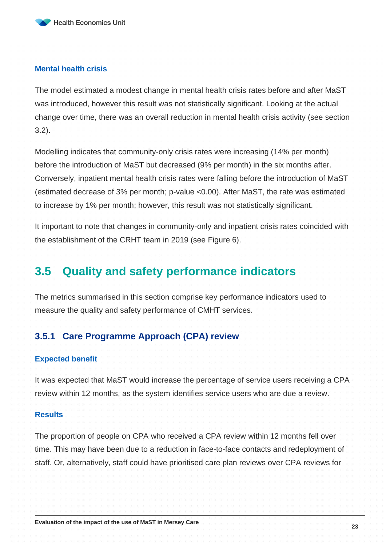#### **Mental health crisis**

The model estimated a modest change in mental health crisis rates before and after MaST was introduced, however this result was not statistically significant. Looking at the actual change over time, there was an overall reduction in mental health crisis activity (see section [3.2\)](#page-16-0).

Modelling indicates that community-only crisis rates were increasing (14% per month) before the introduction of MaST but decreased (9% per month) in the six months after. Conversely, inpatient mental health crisis rates were falling before the introduction of MaST (estimated decrease of 3% per month; p-value <0.00). After MaST, the rate was estimated to increase by 1% per month; however, this result was not statistically significant.

It important to note that changes in community-only and inpatient crisis rates coincided with the establishment of the CRHT team in 2019 (see [Figure 6\)](#page-18-1).

### <span id="page-22-0"></span>**3.5 Quality and safety performance indicators**

The metrics summarised in this section comprise key performance indicators used to measure the quality and safety performance of CMHT services.

#### <span id="page-22-1"></span>**3.5.1 Care Programme Approach (CPA) review**

#### **Expected benefit**

It was expected that MaST would increase the percentage of service users receiving a CPA review within 12 months, as the system identifies service users who are due a review.

#### **Results**

The proportion of people on CPA who received a CPA review within 12 months fell over time. This may have been due to a reduction in face-to-face contacts and redeployment of staff. Or, alternatively, staff could have prioritised care plan reviews over CPA reviews for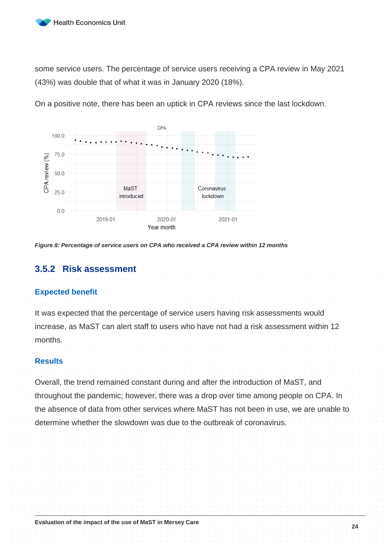

some service users. The percentage of service users receiving a CPA review in May 2021 (43%) was double that of what it was in January 2020 (18%).





*Figure 8: Percentage of service users on CPA who received a CPA review within 12 months*

#### <span id="page-23-0"></span>**3.5.2 Risk assessment**

#### **Expected benefit**

It was expected that the percentage of service users having risk assessments would increase, as MaST can alert staff to users who have not had a risk assessment within 12 months.

#### **Results**

Overall, the trend remained constant during and after the introduction of MaST, and throughout the pandemic; however, there was a drop over time among people on CPA. In the absence of data from other services where MaST has not been in use, we are unable to determine whether the slowdown was due to the outbreak of coronavirus.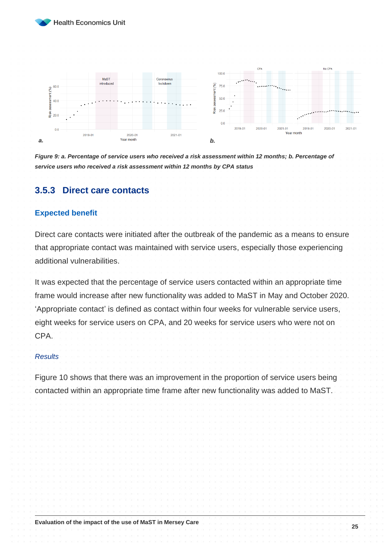



*Figure 9: a. Percentage of service users who received a risk assessment within 12 months; b. Percentage of service users who received a risk assessment within 12 months by CPA status*

#### <span id="page-24-0"></span>**3.5.3 Direct care contacts**

#### **Expected benefit**

Direct care contacts were initiated after the outbreak of the pandemic as a means to ensure that appropriate contact was maintained with service users, especially those experiencing additional vulnerabilities.

It was expected that the percentage of service users contacted within an appropriate time frame would increase after new functionality was added to MaST in May and October 2020. 'Appropriate contact' is defined as contact within four weeks for vulnerable service users, eight weeks for service users on CPA, and 20 weeks for service users who were not on CPA.

#### *Results*

Figure 10 shows that there was an improvement in the proportion of service users being contacted within an appropriate time frame after new functionality was added to MaST.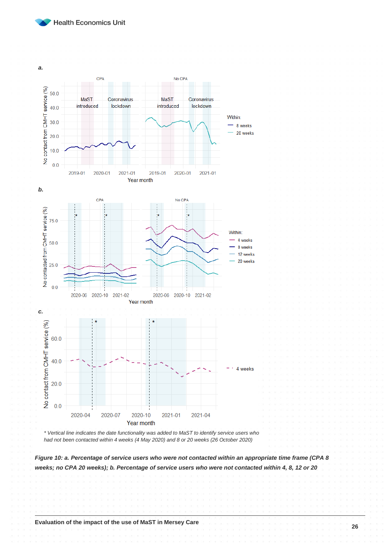



*\* Vertical line indicates the date functionality was added to MaST to identify service users who had not been contacted within 4 weeks (4 May 2020) and 8 or 20 weeks (26 October 2020)*

*Figure 10: a. Percentage of service users who were not contacted within an appropriate time frame (CPA 8 weeks; no CPA 20 weeks); b. Percentage of service users who were not contacted within 4, 8, 12 or 20*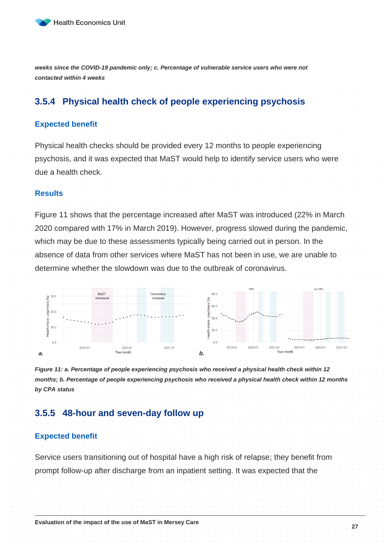

*weeks since the COVID-19 pandemic only; c. Percentage of vulnerable service users who were not contacted within 4 weeks*

#### <span id="page-26-0"></span>**3.5.4 Physical health check of people experiencing psychosis**

#### **Expected benefit**

Physical health checks should be provided every 12 months to people experiencing psychosis, and it was expected that MaST would help to identify service users who were due a health check.

#### **Results**

Figure 11 shows that the percentage increased after MaST was introduced (22% in March 2020 compared with 17% in March 2019). However, progress slowed during the pandemic, which may be due to these assessments typically being carried out in person. In the absence of data from other services where MaST has not been in use, we are unable to determine whether the slowdown was due to the outbreak of coronavirus.



*Figure 11: a. Percentage of people experiencing psychosis who received a physical health check within 12 months; b. Percentage of people experiencing psychosis who received a physical health check within 12 months by CPA status*

#### <span id="page-26-1"></span>**3.5.5 48-hour and seven-day follow up**

#### **Expected benefit**

Service users transitioning out of hospital have a high risk of relapse; they benefit from prompt follow-up after discharge from an inpatient setting. It was expected that the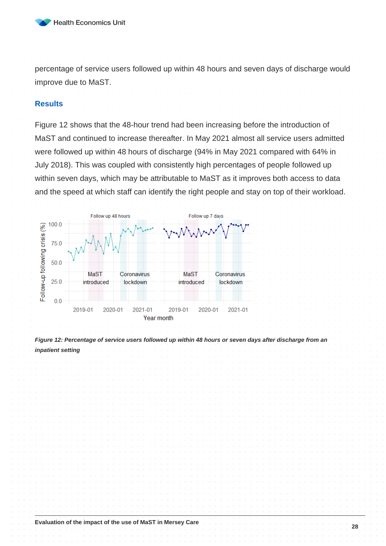

percentage of service users followed up within 48 hours and seven days of discharge would improve due to MaST.

#### **Results**

Figure 12 shows that the 48-hour trend had been increasing before the introduction of MaST and continued to increase thereafter. In May 2021 almost all service users admitted were followed up within 48 hours of discharge (94% in May 2021 compared with 64% in July 2018). This was coupled with consistently high percentages of people followed up within seven days, which may be attributable to MaST as it improves both access to data and the speed at which staff can identify the right people and stay on top of their workload.



*Figure 12: Percentage of service users followed up within 48 hours or seven days after discharge from an inpatient setting*

**Evaluation of the impact of the use of MaST in Mersey Care**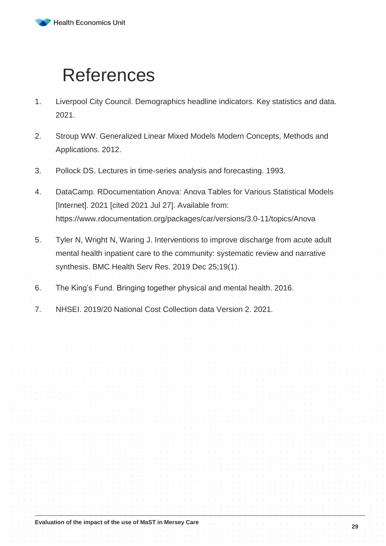

## <span id="page-28-0"></span>References

- 1. Liverpool City Council. Demographics headline indicators. Key statistics and data. 2021.
- 2. Stroup WW. Generalized Linear Mixed Models Modern Concepts, Methods and Applications. 2012.
- 3. Pollock DS. Lectures in time-series analysis and forecasting. 1993.
- 4. DataCamp. RDocumentation Anova: Anova Tables for Various Statistical Models [Internet]. 2021 [cited 2021 Jul 27]. Available from: https://www.rdocumentation.org/packages/car/versions/3.0-11/topics/Anova
- 5. Tyler N, Wright N, Waring J. Interventions to improve discharge from acute adult mental health inpatient care to the community: systematic review and narrative synthesis. BMC Health Serv Res. 2019 Dec 25;19(1).
- 6. The King's Fund. Bringing together physical and mental health. 2016.
- 7. NHSEI. 2019/20 National Cost Collection data Version 2. 2021.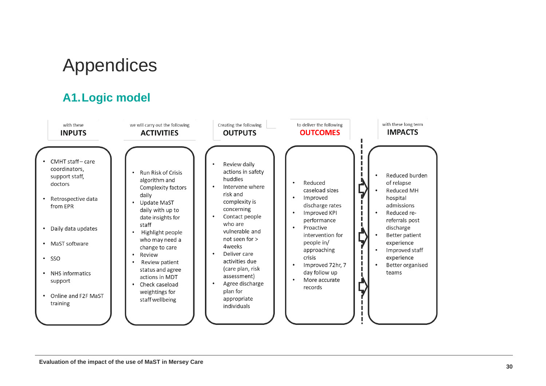## Appendices

## **A1.Logic model**

<span id="page-29-1"></span><span id="page-29-0"></span>

| with these                                                                                                                                                                                                                  | we will carry out the following                                                                                                                                                                                                                                                                                                                                                              | Creating the following                                                                                                                                                                                                                                                                                                                                                                   | to deliver the following                                                                                                                                                                                                         | with these long term                                                                                                                                                                                                   |
|-----------------------------------------------------------------------------------------------------------------------------------------------------------------------------------------------------------------------------|----------------------------------------------------------------------------------------------------------------------------------------------------------------------------------------------------------------------------------------------------------------------------------------------------------------------------------------------------------------------------------------------|------------------------------------------------------------------------------------------------------------------------------------------------------------------------------------------------------------------------------------------------------------------------------------------------------------------------------------------------------------------------------------------|----------------------------------------------------------------------------------------------------------------------------------------------------------------------------------------------------------------------------------|------------------------------------------------------------------------------------------------------------------------------------------------------------------------------------------------------------------------|
| <b>INPUTS</b>                                                                                                                                                                                                               | <b>ACTIVITIES</b>                                                                                                                                                                                                                                                                                                                                                                            | <b>OUTPUTS</b>                                                                                                                                                                                                                                                                                                                                                                           | <b>OUTCOMES</b>                                                                                                                                                                                                                  | <b>IMPACTS</b>                                                                                                                                                                                                         |
| CMHT staff-care<br>coordinators,<br>support staff,<br>doctors<br>Retrospective data<br>from EPR<br>Daily data updates<br>MaST software<br>SSO<br>$\bullet$<br>NHS informatics<br>support<br>Online and F2F MaST<br>training | <b>Run Risk of Crisis</b><br>$\bullet$<br>algorithm and<br>Complexity factors<br>daily<br>Update MaST<br>daily with up to<br>date insights for<br>staff<br>Highlight people<br>$\bullet$<br>who may need a<br>change to care<br>Review<br>$\bullet$<br>Review patient<br>$\bullet$<br>status and agree<br>actions in MDT<br>Check caseload<br>$\bullet$<br>weightings for<br>staff wellbeing | Review daily<br>$\bullet$<br>actions in safety<br>huddles<br>Intervene where<br>$\bullet$<br>risk and<br>complexity is<br>concerning<br>Contact people<br>$\bullet$<br>who are<br>vulnerable and<br>not seen for ><br>4weeks<br>Deliver care<br>$\bullet$<br>activities due<br>(care plan, risk<br>assessment)<br>Agree discharge<br>$\bullet$<br>plan for<br>appropriate<br>individuals | Reduced<br>caseload sizes<br>Improved<br>discharge rates<br>Improved KPI<br>performance<br>Proactive<br>intervention for<br>people in/<br>approaching<br>crisis<br>Improved 72hr, 7<br>day follow up<br>More accurate<br>records | Reduced burden<br>of relapse<br><b>Reduced MH</b><br>hospital<br>admissions<br>Reduced re-<br>referrals post<br>discharge<br>Better patient<br>experience<br>Improved staff<br>experience<br>Better organised<br>teams |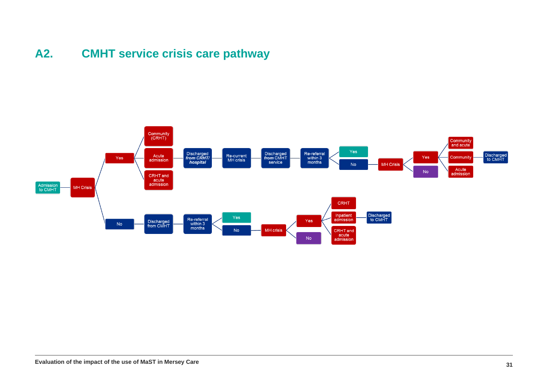## **A2. CMHT service crisis care pathway**

<span id="page-30-0"></span>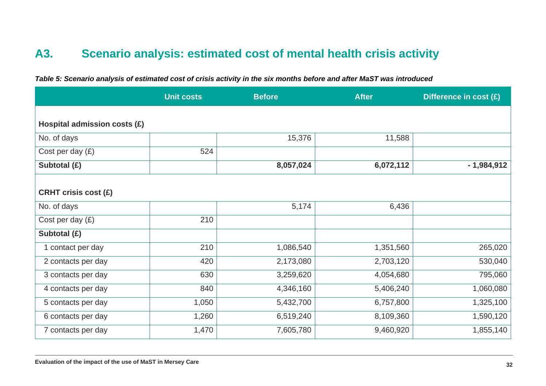## **A3. Scenario analysis: estimated cost of mental health crisis activity**

<span id="page-31-0"></span>

|                              | <b>Unit costs</b> | <b>Before</b> | <b>After</b> | Difference in cost (£) |
|------------------------------|-------------------|---------------|--------------|------------------------|
|                              |                   |               |              |                        |
| Hospital admission costs (£) |                   |               |              |                        |
| No. of days                  |                   | 15,376        | 11,588       |                        |
| Cost per day $(E)$           | 524               |               |              |                        |
| Subtotal (£)                 |                   | 8,057,024     | 6,072,112    | $-1,984,912$           |
|                              |                   |               |              |                        |
| <b>CRHT crisis cost (£)</b>  |                   |               |              |                        |
| No. of days                  |                   | 5,174         | 6,436        |                        |
| Cost per day $(E)$           | 210               |               |              |                        |
| Subtotal (£)                 |                   |               |              |                        |
| 1 contact per day            | 210               | 1,086,540     | 1,351,560    | 265,020                |
| 2 contacts per day           | 420               | 2,173,080     | 2,703,120    | 530,040                |
| 3 contacts per day           | 630               | 3,259,620     | 4,054,680    | 795,060                |
| 4 contacts per day           | 840               | 4,346,160     | 5,406,240    | 1,060,080              |
| 5 contacts per day           | 1,050             | 5,432,700     | 6,757,800    | 1,325,100              |
| 6 contacts per day           | 1,260             | 6,519,240     | 8,109,360    | 1,590,120              |
| 7 contacts per day           | 1,470             | 7,605,780     | 9,460,920    | 1,855,140              |

*Table 5: Scenario analysis of estimated cost of crisis activity in the six months before and after MaST was introduced*